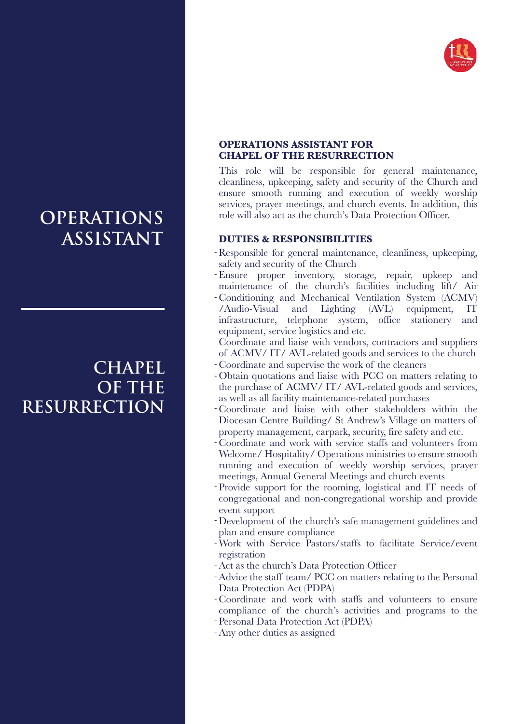

# **OPERATIONS ASSISTANT**

### **CHAPEL OF THE RESURRECTION**

#### **OPERATIONS ASSISTANT FOR CHAPEL OF THE RESURRECTION**

This role will be responsible for general maintenance, cleanliness, upkeeping, safety and security of the Church and ensure smooth running and execution of weekly worship services, prayer meetings, and church events. In addition, this role will also act as the church's Data Protection Officer.

### **DUTIES & RESPONSIBILITIES**

- Responsible for general maintenance, cleanliness, upkeeping, safety and security of the Church
- Ensure proper inventory, storage, repair, upkeep and maintenance of the church's facilities including lift/ Air
- Conditioning and Mechanical Ventilation System (ACMV) /Audio-Visual and Lighting (AVL) equipment, IT infrastructure, telephone system, office stationery and equipment, service logistics and etc.
- Coordinate and liaise with vendors, contractors and suppliers of ACMV/ IT/ AVL-related goods and services to the church
- Coordinate and supervise the work of the cleaners -
- Obtain quotations and liaise with PCC on matters relating to the purchase of ACMV/ IT/ AVL-related goods and services, as well as all facility maintenance-related purchases
- Coordinate and liaise with other stakeholders within the Diocesan Centre Building/ St Andrew's Village on matters of property management, carpark, security, fire safety and etc.
- Coordinate and work with service staffs and volunteers from Welcome/ Hospitality/ Operations ministries to ensure smooth running and execution of weekly worship services, prayer meetings, Annual General Meetings and church events
- Provide support for the rooming, logistical and IT needs of congregational and non-congregational worship and provide event support
- Development of the church's safe management guidelines and plan and ensure compliance
- Work with Service Pastors/staffs to facilitate Service/event registration
- Act as the church's Data Protection Officer -
- Advice the staff team/ PCC on matters relating to the Personal Data Protection Act (PDPA)
- Coordinate and work with staffs and volunteers to ensure compliance of the church's activities and programs to the
- Personal Data Protection Act (PDPA)
- Any other duties as assigned -